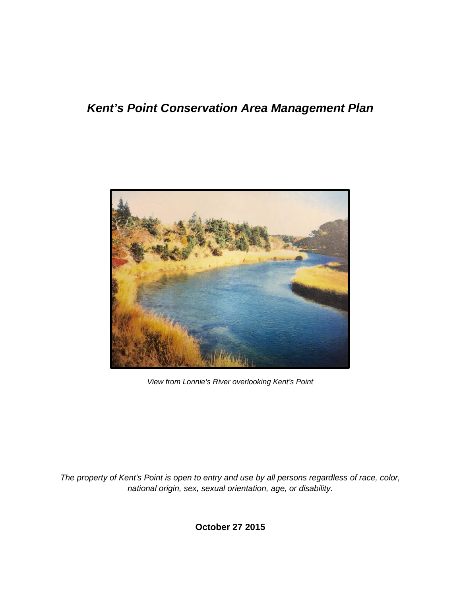## *Kent's Point Conservation Area Management Plan*



*View from Lonnie's River overlooking Kent's Point*

*The property of Kent's Point is open to entry and use by all persons regardless of race, color, national origin, sex, sexual orientation, age, or disability.*

**October 27 2015**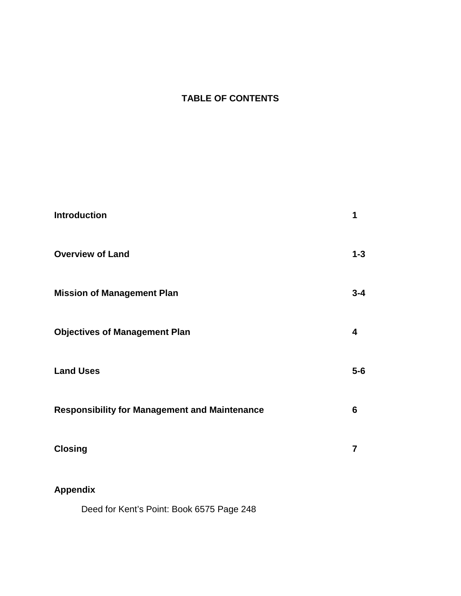## **TABLE OF CONTENTS**

| <b>Introduction</b>                                  |                |
|------------------------------------------------------|----------------|
| <b>Overview of Land</b>                              | $1 - 3$        |
| <b>Mission of Management Plan</b>                    | $3 - 4$        |
| <b>Objectives of Management Plan</b>                 | 4              |
| <b>Land Uses</b>                                     | $5-6$          |
| <b>Responsibility for Management and Maintenance</b> | 6              |
| <b>Closing</b>                                       | $\overline{7}$ |
| <b>Appendix</b>                                      |                |

Deed for Kent's Point: Book 6575 Page 248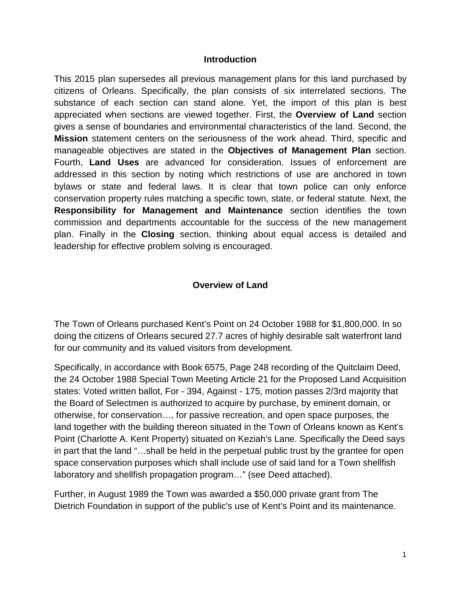#### **Introduction**

This 2015 plan supersedes all previous management plans for this land purchased by citizens of Orleans. Specifically, the plan consists of six interrelated sections. The substance of each section can stand alone. Yet, the import of this plan is best appreciated when sections are viewed together. First, the **Overview of Land** section gives a sense of boundaries and environmental characteristics of the land. Second, the **Mission** statement centers on the seriousness of the work ahead. Third, specific and manageable objectives are stated in the **Objectives of Management Plan** section. Fourth, **Land Uses** are advanced for consideration. Issues of enforcement are addressed in this section by noting which restrictions of use are anchored in town bylaws or state and federal laws. It is clear that town police can only enforce conservation property rules matching a specific town, state, or federal statute. Next, the **Responsibility for Management and Maintenance** section identifies the town commission and departments accountable for the success of the new management plan. Finally in the **Closing** section, thinking about equal access is detailed and leadership for effective problem solving is encouraged.

#### **Overview of Land**

The Town of Orleans purchased Kent's Point on 24 October 1988 for \$1,800,000. In so doing the citizens of Orleans secured 27.7 acres of highly desirable salt waterfront land for our community and its valued visitors from development.

Specifically, in accordance with Book 6575, Page 248 recording of the Quitclaim Deed, the 24 October 1988 Special Town Meeting Article 21 for the Proposed Land Acquisition states: Voted written ballot, For - 394, Against - 175, motion passes 2/3rd majority that the Board of Selectmen is authorized to acquire by purchase, by eminent domain, or otherwise, for conservation…, for passive recreation, and open space purposes, the land together with the building thereon situated in the Town of Orleans known as Kent's Point (Charlotte A. Kent Property) situated on Keziah's Lane. Specifically the Deed says in part that the land "…shall be held in the perpetual public trust by the grantee for open space conservation purposes which shall include use of said land for a Town shellfish laboratory and shellfish propagation program…" (see Deed attached).

Further, in August 1989 the Town was awarded a \$50,000 private grant from The Dietrich Foundation in support of the public's use of Kent's Point and its maintenance.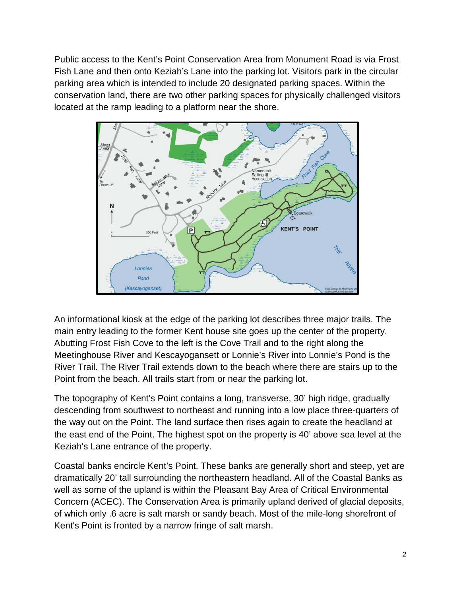Public access to the Kent's Point Conservation Area from Monument Road is via Frost Fish Lane and then onto Keziah's Lane into the parking lot. Visitors park in the circular parking area which is intended to include 20 designated parking spaces. Within the conservation land, there are two other parking spaces for physically challenged visitors located at the ramp leading to a platform near the shore.



An informational kiosk at the edge of the parking lot describes three major trails. The main entry leading to the former Kent house site goes up the center of the property. Abutting Frost Fish Cove to the left is the Cove Trail and to the right along the Meetinghouse River and Kescayogansett or Lonnie's River into Lonnie's Pond is the River Trail. The River Trail extends down to the beach where there are stairs up to the Point from the beach. All trails start from or near the parking lot.

The topography of Kent's Point contains a long, transverse, 30' high ridge, gradually descending from southwest to northeast and running into a low place three-quarters of the way out on the Point. The land surface then rises again to create the headland at the east end of the Point. The highest spot on the property is 40' above sea level at the Keziah's Lane entrance of the property.

Coastal banks encircle Kent's Point. These banks are generally short and steep, yet are dramatically 20' tall surrounding the northeastern headland. All of the Coastal Banks as well as some of the upland is within the Pleasant Bay Area of Critical Environmental Concern (ACEC). The Conservation Area is primarily upland derived of glacial deposits, of which only .6 acre is salt marsh or sandy beach. Most of the mile-long shorefront of Kent's Point is fronted by a narrow fringe of salt marsh.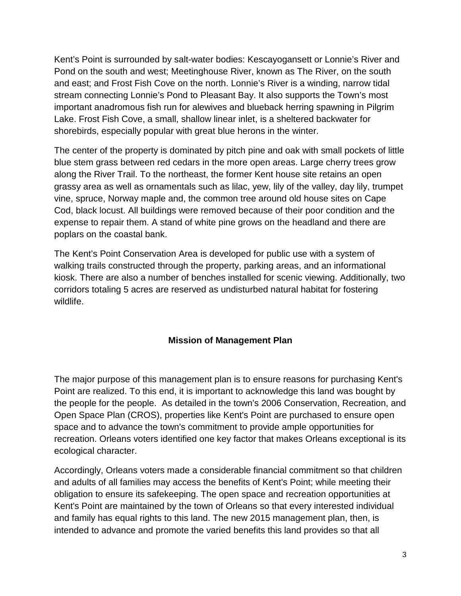Kent's Point is surrounded by salt-water bodies: Kescayogansett or Lonnie's River and Pond on the south and west; Meetinghouse River, known as The River, on the south and east; and Frost Fish Cove on the north. Lonnie's River is a winding, narrow tidal stream connecting Lonnie's Pond to Pleasant Bay. It also supports the Town's most important anadromous fish run for alewives and blueback herring spawning in Pilgrim Lake. Frost Fish Cove, a small, shallow linear inlet, is a sheltered backwater for shorebirds, especially popular with great blue herons in the winter.

The center of the property is dominated by pitch pine and oak with small pockets of little blue stem grass between red cedars in the more open areas. Large cherry trees grow along the River Trail. To the northeast, the former Kent house site retains an open grassy area as well as ornamentals such as lilac, yew, lily of the valley, day lily, trumpet vine, spruce, Norway maple and, the common tree around old house sites on Cape Cod, black locust. All buildings were removed because of their poor condition and the expense to repair them. A stand of white pine grows on the headland and there are poplars on the coastal bank.

The Kent's Point Conservation Area is developed for public use with a system of walking trails constructed through the property, parking areas, and an informational kiosk. There are also a number of benches installed for scenic viewing. Additionally, two corridors totaling 5 acres are reserved as undisturbed natural habitat for fostering wildlife.

#### **Mission of Management Plan**

The major purpose of this management plan is to ensure reasons for purchasing Kent's Point are realized. To this end, it is important to acknowledge this land was bought by the people for the people. As detailed in the town's 2006 Conservation, Recreation, and Open Space Plan (CROS), properties like Kent's Point are purchased to ensure open space and to advance the town's commitment to provide ample opportunities for recreation. Orleans voters identified one key factor that makes Orleans exceptional is its ecological character.

Accordingly, Orleans voters made a considerable financial commitment so that children and adults of all families may access the benefits of Kent's Point; while meeting their obligation to ensure its safekeeping. The open space and recreation opportunities at Kent's Point are maintained by the town of Orleans so that every interested individual and family has equal rights to this land. The new 2015 management plan, then, is intended to advance and promote the varied benefits this land provides so that all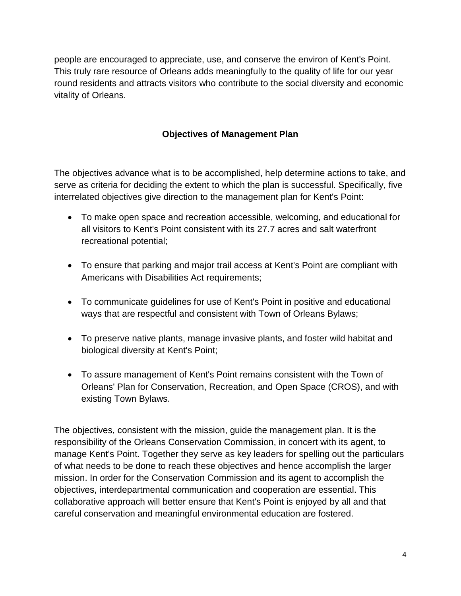people are encouraged to appreciate, use, and conserve the environ of Kent's Point. This truly rare resource of Orleans adds meaningfully to the quality of life for our year round residents and attracts visitors who contribute to the social diversity and economic vitality of Orleans.

## **Objectives of Management Plan**

The objectives advance what is to be accomplished, help determine actions to take, and serve as criteria for deciding the extent to which the plan is successful. Specifically, five interrelated objectives give direction to the management plan for Kent's Point:

- To make open space and recreation accessible, welcoming, and educational for all visitors to Kent's Point consistent with its 27.7 acres and salt waterfront recreational potential;
- To ensure that parking and major trail access at Kent's Point are compliant with Americans with Disabilities Act requirements;
- To communicate guidelines for use of Kent's Point in positive and educational ways that are respectful and consistent with Town of Orleans Bylaws;
- To preserve native plants, manage invasive plants, and foster wild habitat and biological diversity at Kent's Point;
- To assure management of Kent's Point remains consistent with the Town of Orleans' Plan for Conservation, Recreation, and Open Space (CROS), and with existing Town Bylaws.

The objectives, consistent with the mission, guide the management plan. It is the responsibility of the Orleans Conservation Commission, in concert with its agent, to manage Kent's Point. Together they serve as key leaders for spelling out the particulars of what needs to be done to reach these objectives and hence accomplish the larger mission. In order for the Conservation Commission and its agent to accomplish the objectives, interdepartmental communication and cooperation are essential. This collaborative approach will better ensure that Kent's Point is enjoyed by all and that careful conservation and meaningful environmental education are fostered.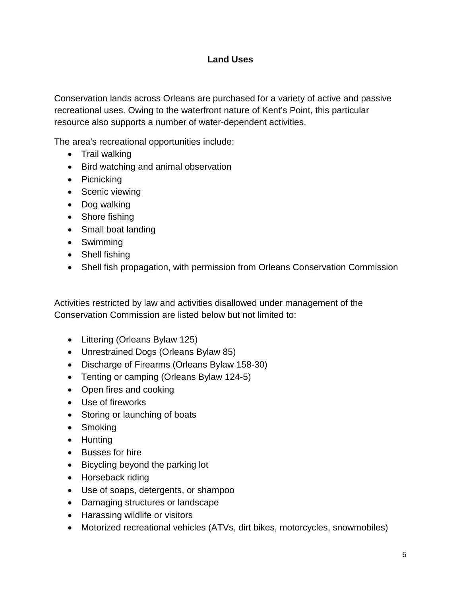### **Land Uses**

Conservation lands across Orleans are purchased for a variety of active and passive recreational uses. Owing to the waterfront nature of Kent's Point, this particular resource also supports a number of water-dependent activities.

The area's recreational opportunities include:

- Trail walking
- Bird watching and animal observation
- Picnicking
- Scenic viewing
- Dog walking
- Shore fishing
- Small boat landing
- Swimming
- Shell fishing
- Shell fish propagation, with permission from Orleans Conservation Commission

Activities restricted by law and activities disallowed under management of the Conservation Commission are listed below but not limited to:

- Littering (Orleans Bylaw 125)
- Unrestrained Dogs (Orleans Bylaw 85)
- Discharge of Firearms (Orleans Bylaw 158-30)
- Tenting or camping (Orleans Bylaw 124-5)
- Open fires and cooking
- Use of fireworks
- Storing or launching of boats
- Smoking
- Hunting
- Busses for hire
- Bicycling beyond the parking lot
- Horseback riding
- Use of soaps, detergents, or shampoo
- Damaging structures or landscape
- Harassing wildlife or visitors
- Motorized recreational vehicles (ATVs, dirt bikes, motorcycles, snowmobiles)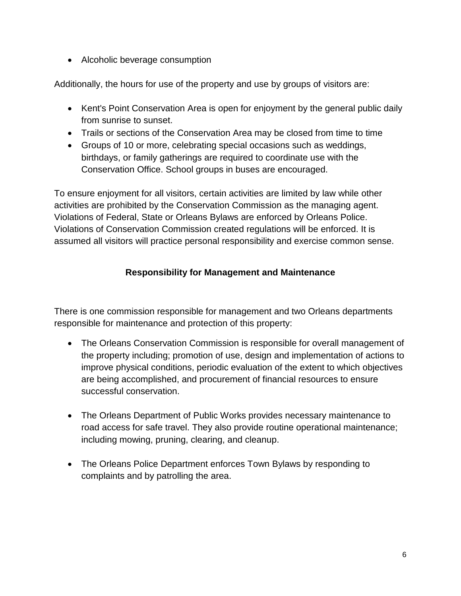• Alcoholic beverage consumption

Additionally, the hours for use of the property and use by groups of visitors are:

- Kent's Point Conservation Area is open for enjoyment by the general public daily from sunrise to sunset.
- Trails or sections of the Conservation Area may be closed from time to time
- Groups of 10 or more, celebrating special occasions such as weddings, birthdays, or family gatherings are required to coordinate use with the Conservation Office. School groups in buses are encouraged.

To ensure enjoyment for all visitors, certain activities are limited by law while other activities are prohibited by the Conservation Commission as the managing agent. Violations of Federal, State or Orleans Bylaws are enforced by Orleans Police. Violations of Conservation Commission created regulations will be enforced. It is assumed all visitors will practice personal responsibility and exercise common sense.

## **Responsibility for Management and Maintenance**

There is one commission responsible for management and two Orleans departments responsible for maintenance and protection of this property:

- The Orleans Conservation Commission is responsible for overall management of the property including; promotion of use, design and implementation of actions to improve physical conditions, periodic evaluation of the extent to which objectives are being accomplished, and procurement of financial resources to ensure successful conservation.
- The Orleans Department of Public Works provides necessary maintenance to road access for safe travel. They also provide routine operational maintenance; including mowing, pruning, clearing, and cleanup.
- The Orleans Police Department enforces Town Bylaws by responding to complaints and by patrolling the area.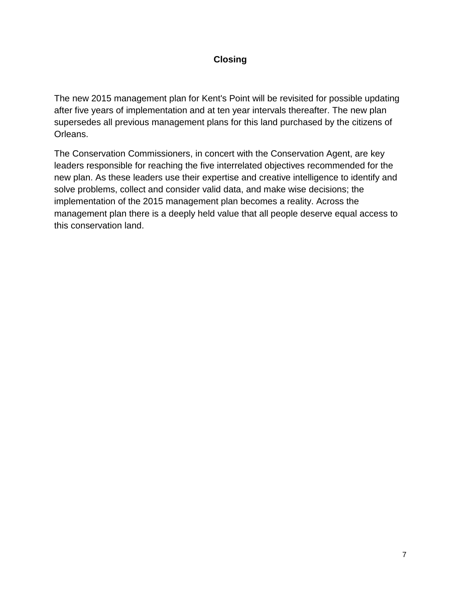## **Closing**

The new 2015 management plan for Kent's Point will be revisited for possible updating after five years of implementation and at ten year intervals thereafter. The new plan supersedes all previous management plans for this land purchased by the citizens of Orleans.

The Conservation Commissioners, in concert with the Conservation Agent, are key leaders responsible for reaching the five interrelated objectives recommended for the new plan. As these leaders use their expertise and creative intelligence to identify and solve problems, collect and consider valid data, and make wise decisions; the implementation of the 2015 management plan becomes a reality. Across the management plan there is a deeply held value that all people deserve equal access to this conservation land.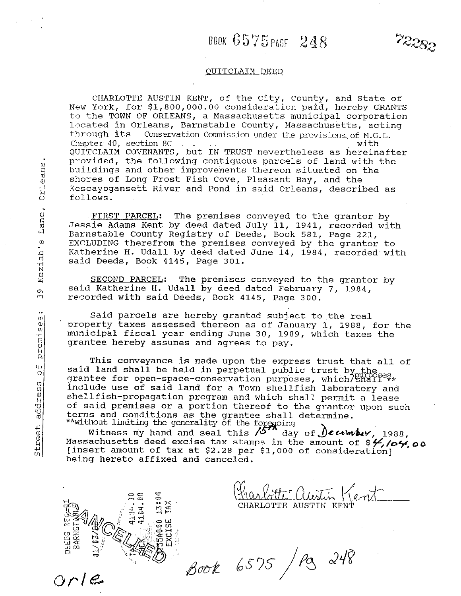# BOOK 6575 PAGE 248

72282

#### QUITCLAIM DEED

CHARLOTTE AUSTIN KENT, of the City, County, and State of New York, for \$1,800,000.00 consideration paid, hereby GRANTS to the TOWN OF ORLEANS, a Massachusetts municipal corporation located in Orleans, Barnstable County, Massachusetts, acting through its Conservation Commission under the provisions of M.G.L. Chapter 40. section 8C with QUITCLAIM COVENANTS, but IN TRUST nevertheless as hereinafter provided, the following contiguous parcels of land with the buildings and other improvements thereon situated on the shores of Long Frost Fish Cove, Pleasant Bay, and the Kescayoqansett River and Pond in said Orleans, described as follows.

FIRST PARCEL: The premises conveyed to the grantor by Jessie Adams Kent by deed dated July 11, 1941, recorded with Barnstable County Registry of Deeds, Book 581, Page 221, EXCLUDING therefrom the premises conveyed by the grantor to Katherine H. Udall by deed dated June 14, 1984, recorded with said Deeds, Book 4145, Page 301.

SECOND PARCEL: The premises conveyed to the grantor by said Katherine H. Udall by deed dated February 7, 1984, recorded with said Deeds, Book 4145, Page 300.

Said parcels are hereby granted subject to the real property taxes assessed thereon as of January 1, 1988, for the municipal fiscal year ending June 30, 1989, which taxes the grantee hereby assumes and agrees to pay.

This conveyance is made upon the express trust that all of said land shall be held in perpetual public trust by the grantee for open-space-conservation purposes, which/Shall<sup>ex\*</sup> include use of said land for a Town shellfish laboratory and shellfish-propagation program and which shall permit a lease of said premises or a portion thereof to the grantor upon such terms and conditions as the grantee shall determine.

\*\*without limiting the generality of the foregoing<br>Witness my hand and seal this  $\sqrt{5}$  day of *December*, 1988, Massachusetts deed excise tax stamps in the amount of \$4,104,00 [insert amount of tax at \$2.28 per \$1,000 of consideration] being hereto affixed and canceled.

> 13:04 TAX

**155A000** EXCISE

CHARLOTTE AUSTIN KENT

Book 6575 / Pg 248

Keziah's Lane, Orleans

 $\frac{1}{2}$ 

premises

 $\overline{a}$ 

address

Street